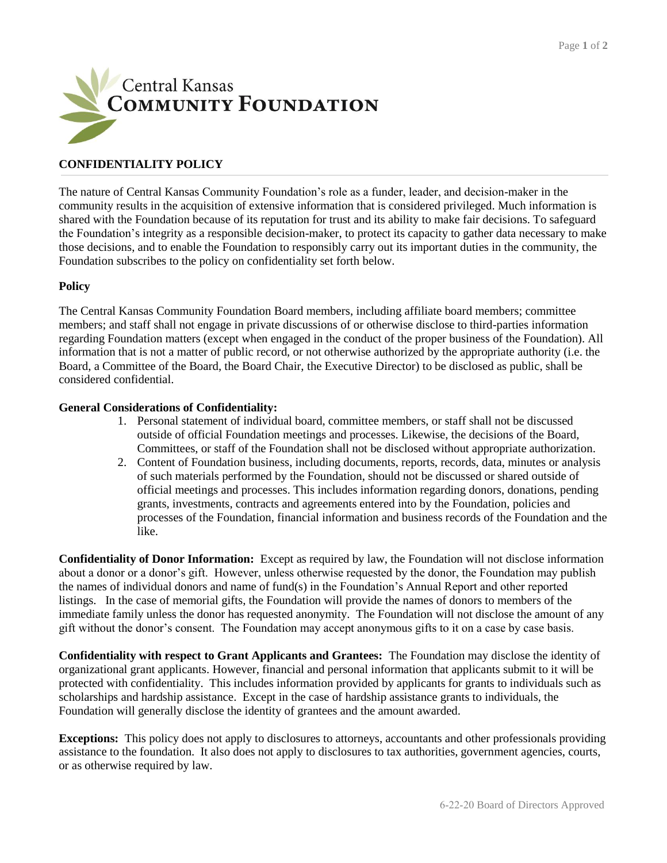

## **CONFIDENTIALITY POLICY**

The nature of Central Kansas Community Foundation's role as a funder, leader, and decision-maker in the community results in the acquisition of extensive information that is considered privileged. Much information is shared with the Foundation because of its reputation for trust and its ability to make fair decisions. To safeguard the Foundation's integrity as a responsible decision-maker, to protect its capacity to gather data necessary to make those decisions, and to enable the Foundation to responsibly carry out its important duties in the community, the Foundation subscribes to the policy on confidentiality set forth below.

## **Policy**

The Central Kansas Community Foundation Board members, including affiliate board members; committee members; and staff shall not engage in private discussions of or otherwise disclose to third-parties information regarding Foundation matters (except when engaged in the conduct of the proper business of the Foundation). All information that is not a matter of public record, or not otherwise authorized by the appropriate authority (i.e. the Board, a Committee of the Board, the Board Chair, the Executive Director) to be disclosed as public, shall be considered confidential.

## **General Considerations of Confidentiality:**

- 1. Personal statement of individual board, committee members, or staff shall not be discussed outside of official Foundation meetings and processes. Likewise, the decisions of the Board, Committees, or staff of the Foundation shall not be disclosed without appropriate authorization.
- 2. Content of Foundation business, including documents, reports, records, data, minutes or analysis of such materials performed by the Foundation, should not be discussed or shared outside of official meetings and processes. This includes information regarding donors, donations, pending grants, investments, contracts and agreements entered into by the Foundation, policies and processes of the Foundation, financial information and business records of the Foundation and the like.

**Confidentiality of Donor Information:** Except as required by law, the Foundation will not disclose information about a donor or a donor's gift. However, unless otherwise requested by the donor, the Foundation may publish the names of individual donors and name of fund(s) in the Foundation's Annual Report and other reported listings. In the case of memorial gifts, the Foundation will provide the names of donors to members of the immediate family unless the donor has requested anonymity. The Foundation will not disclose the amount of any gift without the donor's consent. The Foundation may accept anonymous gifts to it on a case by case basis.

**Confidentiality with respect to Grant Applicants and Grantees:** The Foundation may disclose the identity of organizational grant applicants. However, financial and personal information that applicants submit to it will be protected with confidentiality. This includes information provided by applicants for grants to individuals such as scholarships and hardship assistance. Except in the case of hardship assistance grants to individuals, the Foundation will generally disclose the identity of grantees and the amount awarded.

**Exceptions:** This policy does not apply to disclosures to attorneys, accountants and other professionals providing assistance to the foundation. It also does not apply to disclosures to tax authorities, government agencies, courts, or as otherwise required by law.